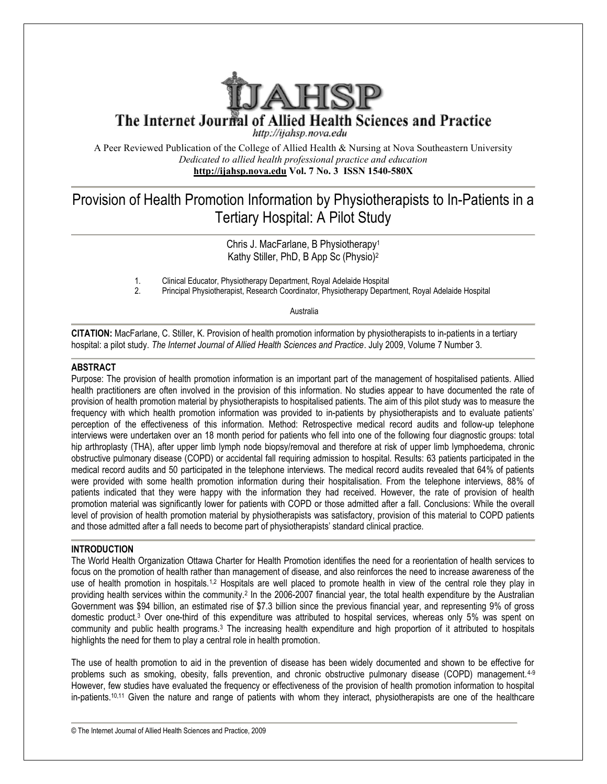

The Internet Journal of Allied Health Sciences and Practice

http://ijahsp.nova.edu

A Peer Reviewed Publication of the College of Allied Health & Nursing at Nova Southeastern University *Dedicated to allied health professional practice and education* **<http://ijahsp.nova.edu> Vol. 7 No. 3 ISSN 1540-580X** 

# Provision of Health Promotion Information by Physiotherapists to In-Patients in a Tertiary Hospital: A Pilot Study

Chris J. MacFarlane, B Physiotherapy<sup>1</sup> Kathy Stiller, PhD, B App Sc (Physio)<sup>2</sup>

1. Clinical Educator, Physiotherapy Department, Royal Adelaide Hospital

2. Principal Physiotherapist, Research Coordinator, Physiotherapy Department, Royal Adelaide Hospital

Australia

**CITATION:** MacFarlane, C. Stiller, K. Provision of health promotion information by physiotherapists to in-patients in a tertiary hospital: a pilot study. *The Internet Journal of Allied Health Sciences and Practice*. July 2009, Volume 7 Number 3.

### **ABSTRACT**

Purpose: The provision of health promotion information is an important part of the management of hospitalised patients. Allied health practitioners are often involved in the provision of this information. No studies appear to have documented the rate of provision of health promotion material by physiotherapists to hospitalised patients. The aim of this pilot study was to measure the frequency with which health promotion information was provided to in-patients by physiotherapists and to evaluate patients' perception of the effectiveness of this information. Method: Retrospective medical record audits and follow-up telephone interviews were undertaken over an 18 month period for patients who fell into one of the following four diagnostic groups: total hip arthroplasty (THA), after upper limb lymph node biopsy/removal and therefore at risk of upper limb lymphoedema, chronic obstructive pulmonary disease (COPD) or accidental fall requiring admission to hospital. Results: 63 patients participated in the medical record audits and 50 participated in the telephone interviews. The medical record audits revealed that 64% of patients were provided with some health promotion information during their hospitalisation. From the telephone interviews, 88% of patients indicated that they were happy with the information they had received. However, the rate of provision of health promotion material was significantly lower for patients with COPD or those admitted after a fall. Conclusions: While the overall level of provision of health promotion material by physiotherapists was satisfactory, provision of this material to COPD patients and those admitted after a fall needs to become part of physiotherapists' standard clinical practice.

#### **INTRODUCTION**

The World Health Organization Ottawa Charter for Health Promotion identifies the need for a reorientation of health services to focus on the promotion of health rather than management of disease, and also reinforces the need to increase awareness of the use of health promotion in hospitals.<sup>1,2</sup> Hospitals are well placed to promote health in view of the central role they play in providing health services within the community.<sup>2</sup> In the 2006-2007 financial year, the total health expenditure by the Australian Government was \$94 billion, an estimated rise of \$7.3 billion since the previous financial year, and representing 9% of gross domestic product.<sup>3</sup> Over one-third of this expenditure was attributed to hospital services, whereas only 5% was spent on community and public health programs.<sup>3</sup> The increasing health expenditure and high proportion of it attributed to hospitals highlights the need for them to play a central role in health promotion.

The use of health promotion to aid in the prevention of disease has been widely documented and shown to be effective for problems such as smoking, obesity, falls prevention, and chronic obstructive pulmonary disease (COPD) management.<sup>4-9</sup> However, few studies have evaluated the frequency or effectiveness of the provision of health promotion information to hospital in-patients.<sup>10,11</sup> Given the nature and range of patients with whom they interact, physiotherapists are one of the healthcare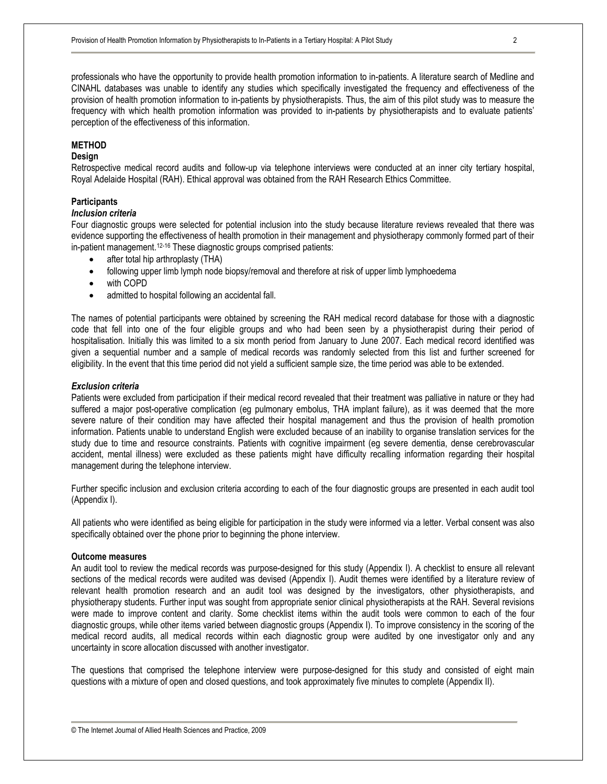professionals who have the opportunity to provide health promotion information to in-patients. A literature search of Medline and CINAHL databases was unable to identify any studies which specifically investigated the frequency and effectiveness of the provision of health promotion information to in-patients by physiotherapists. Thus, the aim of this pilot study was to measure the frequency with which health promotion information was provided to in-patients by physiotherapists and to evaluate patients' perception of the effectiveness of this information.

#### **METHOD**

### **Design**

Retrospective medical record audits and follow-up via telephone interviews were conducted at an inner city tertiary hospital, Royal Adelaide Hospital (RAH). Ethical approval was obtained from the RAH Research Ethics Committee.

#### **Participants**

#### *Inclusion criteria*

Four diagnostic groups were selected for potential inclusion into the study because literature reviews revealed that there was evidence supporting the effectiveness of health promotion in their management and physiotherapy commonly formed part of their in-patient management.12-16 These diagnostic groups comprised patients:

- after total hip arthroplasty (THA)
- following upper limb lymph node biopsy/removal and therefore at risk of upper limb lymphoedema
- with COPD
- admitted to hospital following an accidental fall.

The names of potential participants were obtained by screening the RAH medical record database for those with a diagnostic code that fell into one of the four eligible groups and who had been seen by a physiotherapist during their period of hospitalisation. Initially this was limited to a six month period from January to June 2007. Each medical record identified was given a sequential number and a sample of medical records was randomly selected from this list and further screened for eligibility. In the event that this time period did not yield a sufficient sample size, the time period was able to be extended.

#### *Exclusion criteria*

Patients were excluded from participation if their medical record revealed that their treatment was palliative in nature or they had suffered a major post-operative complication (eg pulmonary embolus, THA implant failure), as it was deemed that the more severe nature of their condition may have affected their hospital management and thus the provision of health promotion information. Patients unable to understand English were excluded because of an inability to organise translation services for the study due to time and resource constraints. Patients with cognitive impairment (eg severe dementia, dense cerebrovascular accident, mental illness) were excluded as these patients might have difficulty recalling information regarding their hospital management during the telephone interview.

Further specific inclusion and exclusion criteria according to each of the four diagnostic groups are presented in each audit tool (Appendix I).

All patients who were identified as being eligible for participation in the study were informed via a letter. Verbal consent was also specifically obtained over the phone prior to beginning the phone interview.

#### **Outcome measures**

An audit tool to review the medical records was purpose-designed for this study (Appendix I). A checklist to ensure all relevant sections of the medical records were audited was devised (Appendix I). Audit themes were identified by a literature review of relevant health promotion research and an audit tool was designed by the investigators, other physiotherapists, and physiotherapy students. Further input was sought from appropriate senior clinical physiotherapists at the RAH. Several revisions were made to improve content and clarity. Some checklist items within the audit tools were common to each of the four diagnostic groups, while other items varied between diagnostic groups (Appendix I). To improve consistency in the scoring of the medical record audits, all medical records within each diagnostic group were audited by one investigator only and any uncertainty in score allocation discussed with another investigator.

The questions that comprised the telephone interview were purpose-designed for this study and consisted of eight main questions with a mixture of open and closed questions, and took approximately five minutes to complete (Appendix II).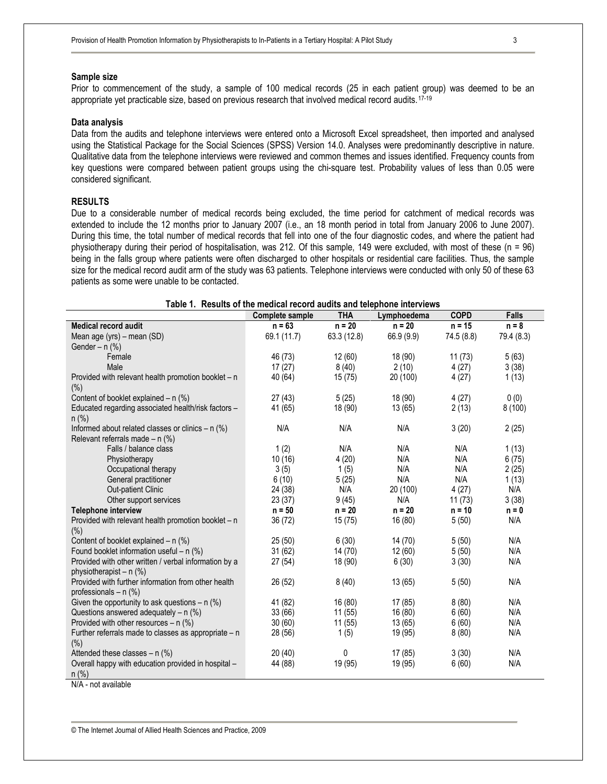#### **Sample size**

Prior to commencement of the study, a sample of 100 medical records (25 in each patient group) was deemed to be an appropriate yet practicable size, based on previous research that involved medical record audits. 17-19

#### **Data analysis**

Data from the audits and telephone interviews were entered onto a Microsoft Excel spreadsheet, then imported and analysed using the Statistical Package for the Social Sciences (SPSS) Version 14.0. Analyses were predominantly descriptive in nature. Qualitative data from the telephone interviews were reviewed and common themes and issues identified. Frequency counts from key questions were compared between patient groups using the chi-square test. Probability values of less than 0.05 were considered significant.

#### **RESULTS**

Due to a considerable number of medical records being excluded, the time period for catchment of medical records was extended to include the 12 months prior to January 2007 (i.e., an 18 month period in total from January 2006 to June 2007). During this time, the total number of medical records that fell into one of the four diagnostic codes, and where the patient had physiotherapy during their period of hospitalisation, was 212. Of this sample, 149 were excluded, with most of these (n = 96) being in the falls group where patients were often discharged to other hospitals or residential care facilities. Thus, the sample size for the medical record audit arm of the study was 63 patients. Telephone interviews were conducted with only 50 of these 63 patients as some were unable to be contacted.

|                                                       | <b>Complete sample</b> | <b>THA</b>  | Lymphoedema | <b>COPD</b> | <b>Falls</b> |
|-------------------------------------------------------|------------------------|-------------|-------------|-------------|--------------|
| <b>Medical record audit</b>                           | $n = 63$               | $n = 20$    | $n = 20$    | $n = 15$    | $n = 8$      |
| Mean age (yrs) – mean (SD)                            | 69.1 (11.7)            | 63.3 (12.8) | 66.9 (9.9)  | 74.5 (8.8)  | 79.4 (8.3)   |
| Gender – $n$ $%$                                      |                        |             |             |             |              |
| Female                                                | 46 (73)                | 12 (60)     | 18 (90)     | 11(73)      | 5(63)        |
| Male                                                  | 17(27)                 | 8(40)       | 2(10)       | 4(27)       | 3(38)        |
| Provided with relevant health promotion booklet - n   | 40 (64)                | 15(75)      | 20 (100)    | 4(27)       | 1(13)        |
| $(\%)$                                                |                        |             |             |             |              |
| Content of booklet explained - n (%)                  | 27 (43)                | 5(25)       | 18 (90)     | 4(27)       | 0(0)         |
| Educated regarding associated health/risk factors -   | 41 (65)                | 18 (90)     | 13(65)      | 2(13)       | 8(100)       |
| $n$ (%)                                               |                        |             |             |             |              |
| Informed about related classes or clinics $- n$ (%)   | N/A                    | N/A         | N/A         | 3(20)       | 2(25)        |
| Relevant referrals made $- n$ (%)                     |                        |             |             |             |              |
| Falls / balance class                                 | 1(2)                   | N/A         | N/A         | N/A         | 1(13)        |
| Physiotherapy                                         | 10(16)                 | 4(20)       | N/A         | N/A         | 6(75)        |
| Occupational therapy                                  | 3(5)                   | 1(5)        | N/A         | N/A         | 2(25)        |
| General practitioner                                  | 6(10)                  | 5(25)       | N/A         | N/A         | 1(13)        |
| Out-patient Clinic                                    | 24 (38)                | N/A         | 20 (100)    | 4(27)       | N/A          |
| Other support services                                | 23(37)                 | 9(45)       | N/A         | 11(73)      | 3(38)        |
| Telephone interview                                   | $n = 50$               | $n = 20$    | $n = 20$    | $n = 10$    | $n = 0$      |
| Provided with relevant health promotion booklet - n   | 36 (72)                | 15(75)      | 16 (80)     | 5(50)       | N/A          |
| (% )                                                  |                        |             |             |             |              |
| Content of booklet explained - n (%)                  | 25(50)                 | 6(30)       | 14(70)      | 5(50)       | N/A          |
| Found booklet information useful - $n$ (%)            | 31(62)                 | 14 (70)     | 12(60)      | 5(50)       | N/A          |
| Provided with other written / verbal information by a | 27 (54)                | 18 (90)     | 6(30)       | 3(30)       | N/A          |
| physiotherapist $- n$ (%)                             |                        |             |             |             |              |
| Provided with further information from other health   | 26 (52)                | 8(40)       | 13(65)      | 5(50)       | N/A          |
| professionals - $n$ (%)                               |                        |             |             |             |              |
| Given the opportunity to ask questions $- n$ (%)      | 41 (82)                | 16 (80)     | 17(85)      | 8(80)       | N/A          |
| Questions answered adequately $- n$ (%)               | 33(66)                 | 11(55)      | 16(80)      | 6(60)       | N/A          |
| Provided with other resources $- n$ (%)               | 30(60)                 | 11(55)      | 13(65)      | 6(60)       | N/A          |
| Further referrals made to classes as appropriate - n  | 28 (56)                | 1(5)        | 19 (95)     | 8(80)       | N/A          |
| (% )                                                  |                        |             |             |             |              |
| Attended these classes $- n$ (%)                      | 20(40)                 | 0           | 17(85)      | 3(30)       | N/A          |
| Overall happy with education provided in hospital -   | 44 (88)                | 19 (95)     | 19 (95)     | 6(60)       | N/A          |
| $n$ (%)                                               |                        |             |             |             |              |

N/A - not available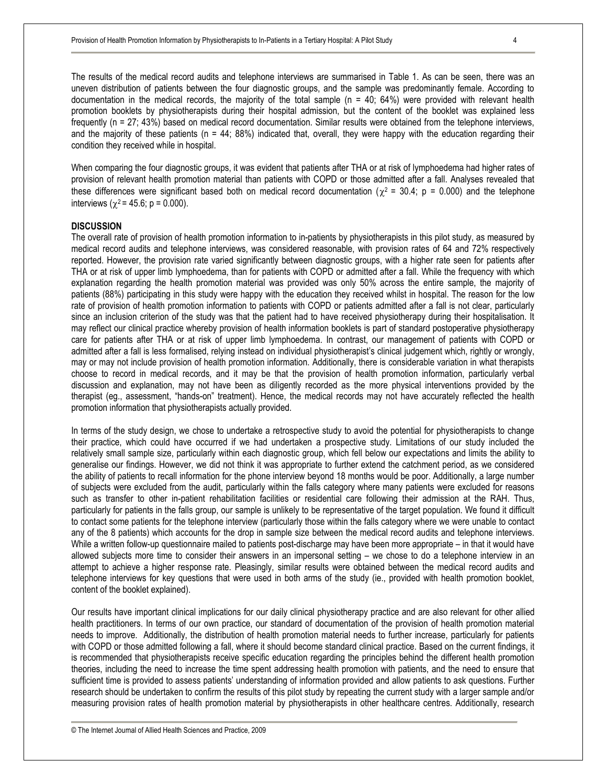The results of the medical record audits and telephone interviews are summarised in Table 1. As can be seen, there was an uneven distribution of patients between the four diagnostic groups, and the sample was predominantly female. According to documentation in the medical records, the majority of the total sample  $(n = 40; 64%)$  were provided with relevant health promotion booklets by physiotherapists during their hospital admission, but the content of the booklet was explained less frequently (n = 27; 43%) based on medical record documentation. Similar results were obtained from the telephone interviews, and the majority of these patients ( $n = 44$ ; 88%) indicated that, overall, they were happy with the education regarding their condition they received while in hospital.

When comparing the four diagnostic groups, it was evident that patients after THA or at risk of lymphoedema had higher rates of provision of relevant health promotion material than patients with COPD or those admitted after a fall. Analyses revealed that these differences were significant based both on medical record documentation ( $\chi^2$  = 30.4; p = 0.000) and the telephone interviews ( $\gamma^2$  = 45.6; p = 0.000).

#### **DISCUSSION**

The overall rate of provision of health promotion information to in-patients by physiotherapists in this pilot study, as measured by medical record audits and telephone interviews, was considered reasonable, with provision rates of 64 and 72% respectively reported. However, the provision rate varied significantly between diagnostic groups, with a higher rate seen for patients after THA or at risk of upper limb lymphoedema, than for patients with COPD or admitted after a fall. While the frequency with which explanation regarding the health promotion material was provided was only 50% across the entire sample, the majority of patients (88%) participating in this study were happy with the education they received whilst in hospital. The reason for the low rate of provision of health promotion information to patients with COPD or patients admitted after a fall is not clear, particularly since an inclusion criterion of the study was that the patient had to have received physiotherapy during their hospitalisation. It may reflect our clinical practice whereby provision of health information booklets is part of standard postoperative physiotherapy care for patients after THA or at risk of upper limb lymphoedema. In contrast, our management of patients with COPD or admitted after a fall is less formalised, relying instead on individual physiotherapist's clinical judgement which, rightly or wrongly, may or may not include provision of health promotion information. Additionally, there is considerable variation in what therapists choose to record in medical records, and it may be that the provision of health promotion information, particularly verbal discussion and explanation, may not have been as diligently recorded as the more physical interventions provided by the therapist (eg., assessment, "hands-on" treatment). Hence, the medical records may not have accurately reflected the health promotion information that physiotherapists actually provided.

In terms of the study design, we chose to undertake a retrospective study to avoid the potential for physiotherapists to change their practice, which could have occurred if we had undertaken a prospective study. Limitations of our study included the relatively small sample size, particularly within each diagnostic group, which fell below our expectations and limits the ability to generalise our findings. However, we did not think it was appropriate to further extend the catchment period, as we considered the ability of patients to recall information for the phone interview beyond 18 months would be poor. Additionally, a large number of subjects were excluded from the audit, particularly within the falls category where many patients were excluded for reasons such as transfer to other in-patient rehabilitation facilities or residential care following their admission at the RAH. Thus, particularly for patients in the falls group, our sample is unlikely to be representative of the target population. We found it difficult to contact some patients for the telephone interview (particularly those within the falls category where we were unable to contact any of the 8 patients) which accounts for the drop in sample size between the medical record audits and telephone interviews. While a written follow-up questionnaire mailed to patients post-discharge may have been more appropriate – in that it would have allowed subjects more time to consider their answers in an impersonal setting – we chose to do a telephone interview in an attempt to achieve a higher response rate. Pleasingly, similar results were obtained between the medical record audits and telephone interviews for key questions that were used in both arms of the study (ie., provided with health promotion booklet, content of the booklet explained).

Our results have important clinical implications for our daily clinical physiotherapy practice and are also relevant for other allied health practitioners. In terms of our own practice, our standard of documentation of the provision of health promotion material needs to improve. Additionally, the distribution of health promotion material needs to further increase, particularly for patients with COPD or those admitted following a fall, where it should become standard clinical practice. Based on the current findings, it is recommended that physiotherapists receive specific education regarding the principles behind the different health promotion theories, including the need to increase the time spent addressing health promotion with patients, and the need to ensure that sufficient time is provided to assess patients' understanding of information provided and allow patients to ask questions. Further research should be undertaken to confirm the results of this pilot study by repeating the current study with a larger sample and/or measuring provision rates of health promotion material by physiotherapists in other healthcare centres. Additionally, research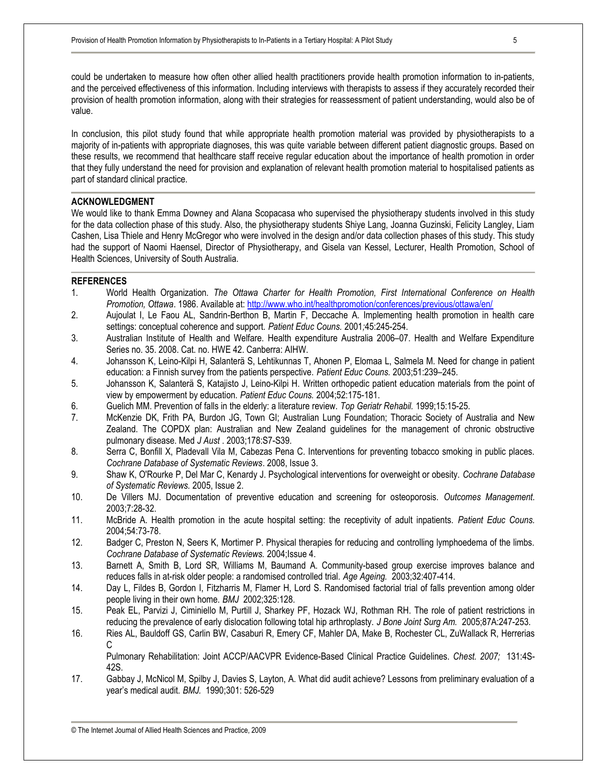could be undertaken to measure how often other allied health practitioners provide health promotion information to in-patients, and the perceived effectiveness of this information. Including interviews with therapists to assess if they accurately recorded their provision of health promotion information, along with their strategies for reassessment of patient understanding, would also be of value.

In conclusion, this pilot study found that while appropriate health promotion material was provided by physiotherapists to a majority of in-patients with appropriate diagnoses, this was quite variable between different patient diagnostic groups. Based on these results, we recommend that healthcare staff receive regular education about the importance of health promotion in order that they fully understand the need for provision and explanation of relevant health promotion material to hospitalised patients as part of standard clinical practice.

#### **ACKNOWLEDGMENT**

We would like to thank Emma Downey and Alana Scopacasa who supervised the physiotherapy students involved in this study for the data collection phase of this study. Also, the physiotherapy students Shiye Lang, Joanna Guzinski, Felicity Langley, Liam Cashen, Lisa Thiele and Henry McGregor who were involved in the design and/or data collection phases of this study. This study had the support of Naomi Haensel, Director of Physiotherapy, and Gisela van Kessel, Lecturer, Health Promotion, School of Health Sciences, University of South Australia.

#### **REFERENCES**

- 1. World Health Organization. *The Ottawa Charter for Health Promotion, First International Conference on Health Promotion, Ottawa*. 1986. Available at: <http://www.who.int/healthpromotion/conferences/previous/ottawa/en/>
- 2. Aujoulat I, Le Faou AL, Sandrin-Berthon B, Martin F, Deccache A. Implementing health promotion in health care settings: conceptual coherence and support. *Patient Educ Couns.* 2001*;*45:245-254.
- 3. Australian Institute of Health and Welfare. Health expenditure Australia 2006–07. Health and Welfare Expenditure Series no. 35. 2008. Cat. no. HWE 42. Canberra: AIHW.
- 4. Johansson K, Leino-Kilpi H, Salanterä S, Lehtikunnas T, Ahonen P, Elomaa L, Salmela M. Need for change in patient education: a Finnish survey from the patients perspective. *Patient Educ Couns.* 2003;51:239–245.
- 5. Johansson K, Salanterä S, Katajisto J, Leino-Kilpi H. Written orthopedic patient education materials from the point of view by empowerment by education. *Patient Educ Couns.* 2004;52:175-181.
- 6. Guelich MM. Prevention of falls in the elderly: a literature review. *Top Geriatr Rehabil.* 1999;15:15-25.
- 7. McKenzie DK, Frith PA, Burdon JG, Town GI; Australian Lung Foundation; Thoracic Society of Australia and New Zealand. The COPDX plan: Australian and New Zealand guidelines for the management of chronic obstructive pulmonary disease. Med *J Aust* . 2003;178:S7-S39.
- 8. Serra C, Bonfill X, Pladevall Vila M, Cabezas Pena C. Interventions for preventing tobacco smoking in public places. *Cochrane Database of Systematic Reviews*. 2008, Issue 3.
- 9. Shaw K, O'Rourke P, Del Mar C, Kenardy J. Psychological interventions for overweight or obesity. *Cochrane Database of Systematic Reviews.* 2005, Issue 2.
- 10. De Villers MJ. Documentation of preventive education and screening for osteoporosis. *Outcomes Management.*  2003;7:28-32.
- 11. McBride A. Health promotion in the acute hospital setting: the receptivity of adult inpatients. *Patient Educ Couns.*  2004;54:73-78.
- 12. Badger C, Preston N, Seers K, Mortimer P. Physical therapies for reducing and controlling lymphoedema of the limbs. *Cochrane Database of Systematic Reviews.* 2004;Issue 4.
- 13. Barnett A, Smith B, Lord SR, Williams M, Baumand A. Community-based group exercise improves balance and reduces falls in at-risk older people: a randomised controlled trial. *Age Ageing.* 2003;32:407-414.
- 14. Day L, Fildes B, Gordon I, Fitzharris M, Flamer H, Lord S. Randomised factorial trial of falls prevention among older people living in their own home. *BMJ* 2002;325:128.
- 15. Peak EL, Parvizi J, Ciminiello M, Purtill J, Sharkey PF, Hozack WJ, Rothman RH. The role of patient restrictions in reducing the prevalence of early dislocation following total hip arthroplasty. *J Bone Joint Surg Am.* 2005;87A:247-253.
- 16. Ries AL, Bauldoff GS, Carlin BW, Casaburi R, Emery CF, Mahler DA, Make B, Rochester CL, ZuWallack R, Herrerias C

Pulmonary Rehabilitation: Joint ACCP/AACVPR Evidence-Based Clinical Practice Guidelines. *Chest. 2007;* 131:4S-42S.

17. Gabbay J, McNicol M, Spilby J, Davies S, Layton, A. What did audit achieve? Lessons from preliminary evaluation of a year's medical audit. *BMJ.* 1990;301: 526-529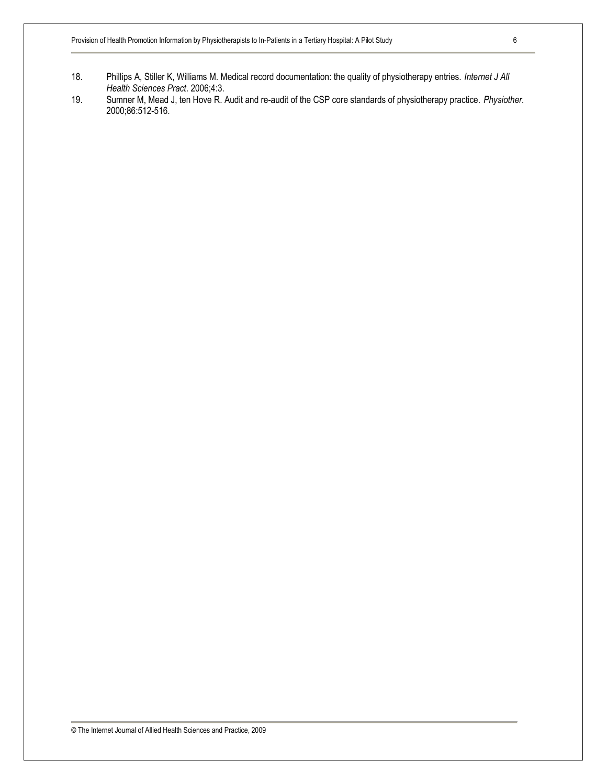- 18. Phillips A, Stiller K, Williams M. Medical record documentation: the quality of physiotherapy entries. *Internet J All Health Sciences Pract*. 2006;4:3.
- 19. Sumner M, Mead J, ten Hove R. Audit and re-audit of the CSP core standards of physiotherapy practice. *Physiother.*  2000;86:512-516.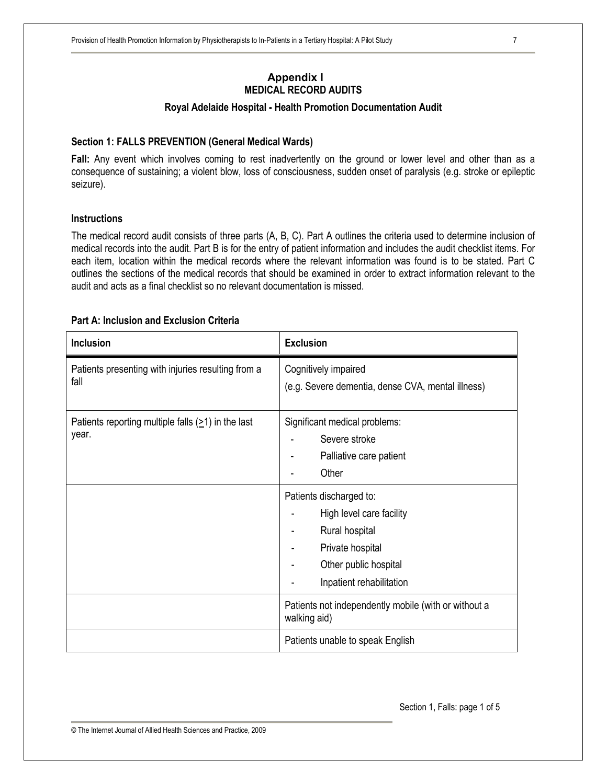## **Appendix I MEDICAL RECORD AUDITS**

#### **Royal Adelaide Hospital - Health Promotion Documentation Audit**

### **Section 1: FALLS PREVENTION (General Medical Wards)**

**Fall:** Any event which involves coming to rest inadvertently on the ground or lower level and other than as a consequence of sustaining; a violent blow, loss of consciousness, sudden onset of paralysis (e.g. stroke or epileptic seizure).

### **Instructions**

The medical record audit consists of three parts (A, B, C). Part A outlines the criteria used to determine inclusion of medical records into the audit. Part B is for the entry of patient information and includes the audit checklist items. For each item, location within the medical records where the relevant information was found is to be stated. Part C outlines the sections of the medical records that should be examined in order to extract information relevant to the audit and acts as a final checklist so no relevant documentation is missed.

### **Part A: Inclusion and Exclusion Criteria**

| <b>Inclusion</b>                                              | <b>Exclusion</b>                                                                                                                               |
|---------------------------------------------------------------|------------------------------------------------------------------------------------------------------------------------------------------------|
| Patients presenting with injuries resulting from a<br>fall    | Cognitively impaired<br>(e.g. Severe dementia, dense CVA, mental illness)                                                                      |
| Patients reporting multiple falls $(21)$ in the last<br>year. | Significant medical problems:<br>Severe stroke<br>Palliative care patient<br>Other                                                             |
|                                                               | Patients discharged to:<br>High level care facility<br>Rural hospital<br>Private hospital<br>Other public hospital<br>Inpatient rehabilitation |
|                                                               | Patients not independently mobile (with or without a<br>walking aid)                                                                           |
|                                                               | Patients unable to speak English                                                                                                               |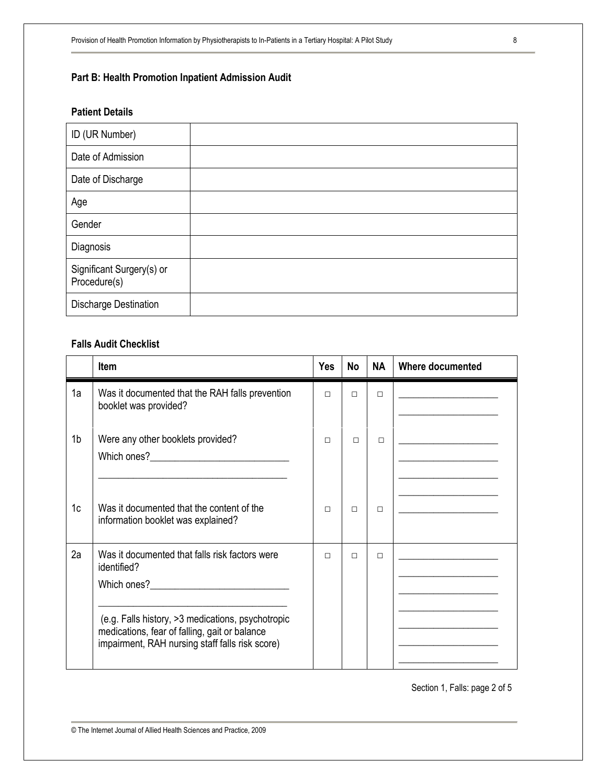# **Part B: Health Promotion Inpatient Admission Audit**

## **Patient Details**

| ID (UR Number)                            |  |
|-------------------------------------------|--|
| Date of Admission                         |  |
| Date of Discharge                         |  |
| Age                                       |  |
| Gender                                    |  |
| Diagnosis                                 |  |
| Significant Surgery(s) or<br>Procedure(s) |  |
| <b>Discharge Destination</b>              |  |

## **Falls Audit Checklist**

|    | <b>Item</b>                                                                                                                                                                                                                           | <b>Yes</b> | <b>No</b> | <b>NA</b> | <b>Where documented</b> |
|----|---------------------------------------------------------------------------------------------------------------------------------------------------------------------------------------------------------------------------------------|------------|-----------|-----------|-------------------------|
| 1a | Was it documented that the RAH falls prevention<br>booklet was provided?                                                                                                                                                              | $\Box$     | $\Box$    | $\Box$    |                         |
| 1b | Were any other booklets provided?<br>Which ones?<br><u> Which ones?</u>                                                                                                                                                               | $\Box$     | $\Box$    | $\Box$    |                         |
| 1c | Was it documented that the content of the<br>information booklet was explained?                                                                                                                                                       | $\Box$     | $\Box$    | $\Box$    |                         |
| 2a | Was it documented that falls risk factors were<br>identified?<br>Which ones?<br>(e.g. Falls history, >3 medications, psychotropic<br>medications, fear of falling, gait or balance<br>impairment, RAH nursing staff falls risk score) | $\Box$     | $\Box$    | $\Box$    |                         |

Section 1, Falls: page 2 of 5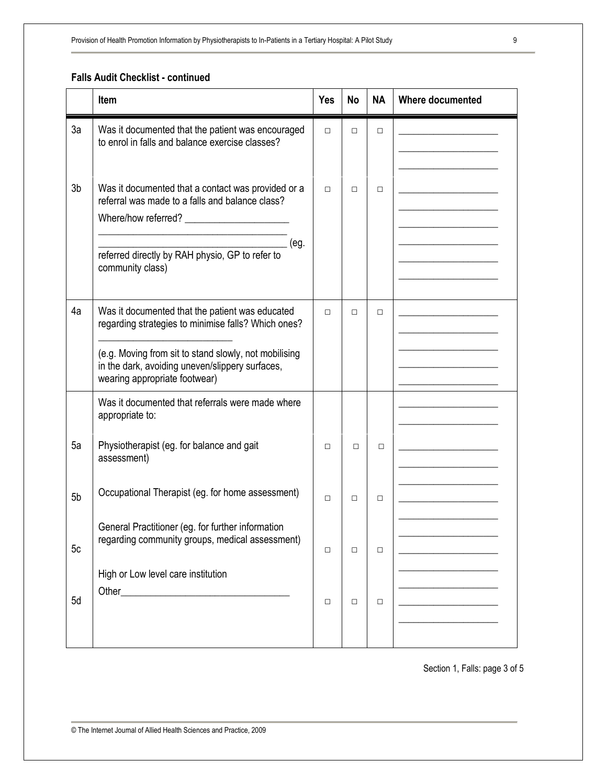## **Falls Audit Checklist - continued**

|                | <b>Item</b>                                                                                                                               | <b>Yes</b> | <b>No</b> | <b>NA</b> | Where documented |
|----------------|-------------------------------------------------------------------------------------------------------------------------------------------|------------|-----------|-----------|------------------|
| 3a             | Was it documented that the patient was encouraged<br>to enrol in falls and balance exercise classes?                                      | $\Box$     | $\Box$    | □         |                  |
| 3 <sub>b</sub> | Was it documented that a contact was provided or a<br>referral was made to a falls and balance class?                                     | $\Box$     | $\Box$    | □         |                  |
|                | (eg.<br>referred directly by RAH physio, GP to refer to<br>community class)                                                               |            |           |           |                  |
| 4a             | Was it documented that the patient was educated<br>regarding strategies to minimise falls? Which ones?                                    | $\Box$     | $\Box$    | □         |                  |
|                | (e.g. Moving from sit to stand slowly, not mobilising<br>in the dark, avoiding uneven/slippery surfaces,<br>wearing appropriate footwear) |            |           |           |                  |
|                | Was it documented that referrals were made where<br>appropriate to:                                                                       |            |           |           |                  |
| 5a             | Physiotherapist (eg. for balance and gait<br>assessment)                                                                                  | $\Box$     | $\Box$    | $\Box$    |                  |
| 5b             | Occupational Therapist (eg. for home assessment)                                                                                          | П          | $\Box$    | $\Box$    |                  |
| 5c             | General Practitioner (eg. for further information<br>regarding community groups, medical assessment)                                      | $\Box$     | $\Box$    | $\Box$    |                  |
| 5d             | High or Low level care institution                                                                                                        | $\Box$     | $\Box$    | $\Box$    |                  |
|                |                                                                                                                                           |            |           |           |                  |

Section 1, Falls: page 3 of 5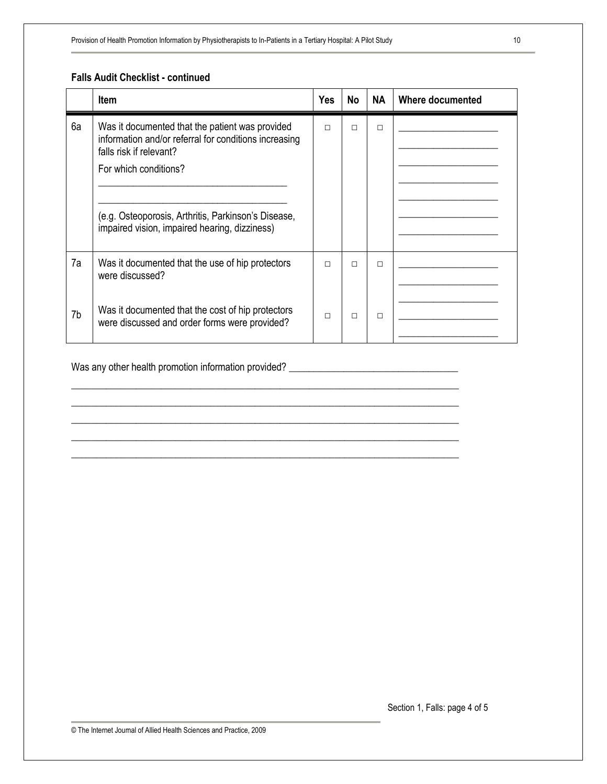## **Falls Audit Checklist - continued**

|    | <b>Item</b>                                                                                                                                                                                                                                                          | <b>Yes</b> | <b>No</b> | <b>NA</b> | <b>Where documented</b> |
|----|----------------------------------------------------------------------------------------------------------------------------------------------------------------------------------------------------------------------------------------------------------------------|------------|-----------|-----------|-------------------------|
| 6a | Was it documented that the patient was provided<br>information and/or referral for conditions increasing<br>falls risk if relevant?<br>For which conditions?<br>(e.g. Osteoporosis, Arthritis, Parkinson's Disease,<br>impaired vision, impaired hearing, dizziness) | $\Box$     | $\Box$    | $\Box$    |                         |
| 7a | Was it documented that the use of hip protectors<br>were discussed?                                                                                                                                                                                                  | П          | $\Box$    | П         |                         |
| 7b | Was it documented that the cost of hip protectors<br>were discussed and order forms were provided?                                                                                                                                                                   | П          | $\Box$    | $\Box$    |                         |

**\_\_\_\_\_\_\_\_\_\_\_\_\_\_\_\_\_\_\_\_\_\_\_\_\_\_\_\_\_\_\_\_\_\_\_\_\_\_\_\_\_\_\_\_\_\_\_\_\_\_\_\_\_\_\_\_\_\_\_\_\_\_\_\_\_\_\_\_\_\_\_\_\_\_\_\_\_\_ \_\_\_\_\_\_\_\_\_\_\_\_\_\_\_\_\_\_\_\_\_\_\_\_\_\_\_\_\_\_\_\_\_\_\_\_\_\_\_\_\_\_\_\_\_\_\_\_\_\_\_\_\_\_\_\_\_\_\_\_\_\_\_\_\_\_\_\_\_\_\_\_\_\_\_\_\_\_ \_\_\_\_\_\_\_\_\_\_\_\_\_\_\_\_\_\_\_\_\_\_\_\_\_\_\_\_\_\_\_\_\_\_\_\_\_\_\_\_\_\_\_\_\_\_\_\_\_\_\_\_\_\_\_\_\_\_\_\_\_\_\_\_\_\_\_\_\_\_\_\_\_\_\_\_\_\_ \_\_\_\_\_\_\_\_\_\_\_\_\_\_\_\_\_\_\_\_\_\_\_\_\_\_\_\_\_\_\_\_\_\_\_\_\_\_\_\_\_\_\_\_\_\_\_\_\_\_\_\_\_\_\_\_\_\_\_\_\_\_\_\_\_\_\_\_\_\_\_\_\_\_\_\_\_\_ \_\_\_\_\_\_\_\_\_\_\_\_\_\_\_\_\_\_\_\_\_\_\_\_\_\_\_\_\_\_\_\_\_\_\_\_\_\_\_\_\_\_\_\_\_\_\_\_\_\_\_\_\_\_\_\_\_\_\_\_\_\_\_\_\_\_\_\_\_\_\_\_\_\_\_\_\_\_**

Was any other health promotion information provided? \_\_\_\_\_\_\_\_\_\_\_\_\_\_\_\_\_\_\_\_\_\_\_\_\_\_\_

Section 1, Falls: page 4 of 5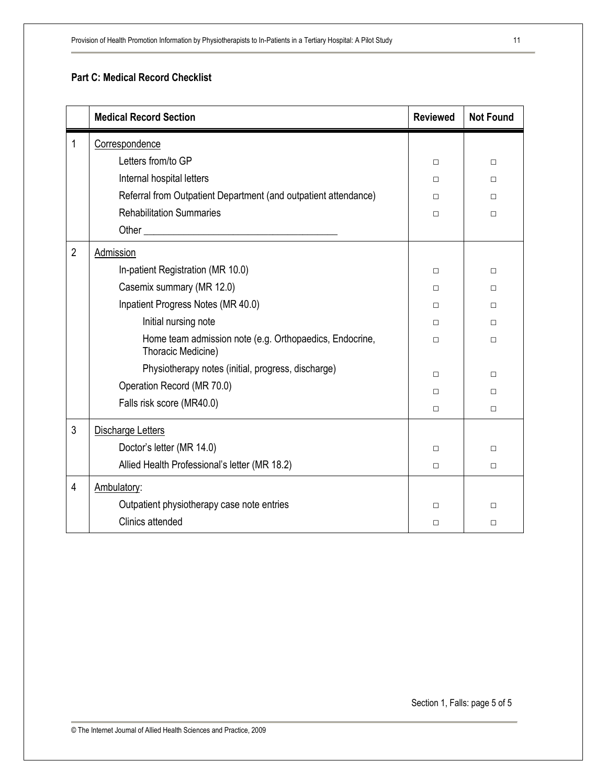## **Part C: Medical Record Checklist**

|                | <b>Medical Record Section</b>                                                 | <b>Reviewed</b> | <b>Not Found</b> |
|----------------|-------------------------------------------------------------------------------|-----------------|------------------|
| 1              | Correspondence                                                                |                 |                  |
|                | Letters from/to GP                                                            | □               | $\Box$           |
|                | Internal hospital letters                                                     | □               | П                |
|                | Referral from Outpatient Department (and outpatient attendance)               | □               | Π                |
|                | <b>Rehabilitation Summaries</b>                                               | □               | $\Box$           |
|                |                                                                               |                 |                  |
| $\overline{2}$ | <b>Admission</b>                                                              |                 |                  |
|                | In-patient Registration (MR 10.0)                                             | $\Box$          | $\Box$           |
|                | Casemix summary (MR 12.0)                                                     | □               | $\Box$           |
|                | Inpatient Progress Notes (MR 40.0)                                            | □               | $\Box$           |
|                | Initial nursing note                                                          | $\Box$          | $\Box$           |
|                | Home team admission note (e.g. Orthopaedics, Endocrine,<br>Thoracic Medicine) | Π               | п                |
|                | Physiotherapy notes (initial, progress, discharge)                            | □               | П                |
|                | Operation Record (MR 70.0)                                                    | Π               | $\Box$           |
|                | Falls risk score (MR40.0)                                                     | □               | $\Box$           |
| 3              | <b>Discharge Letters</b>                                                      |                 |                  |
|                | Doctor's letter (MR 14.0)                                                     | □               | $\Box$           |
|                | Allied Health Professional's letter (MR 18.2)                                 | □               | $\Box$           |
| $\overline{4}$ | Ambulatory:                                                                   |                 |                  |
|                | Outpatient physiotherapy case note entries                                    | □               | □                |
|                | Clinics attended                                                              | □               | □                |

Section 1, Falls: page 5 of 5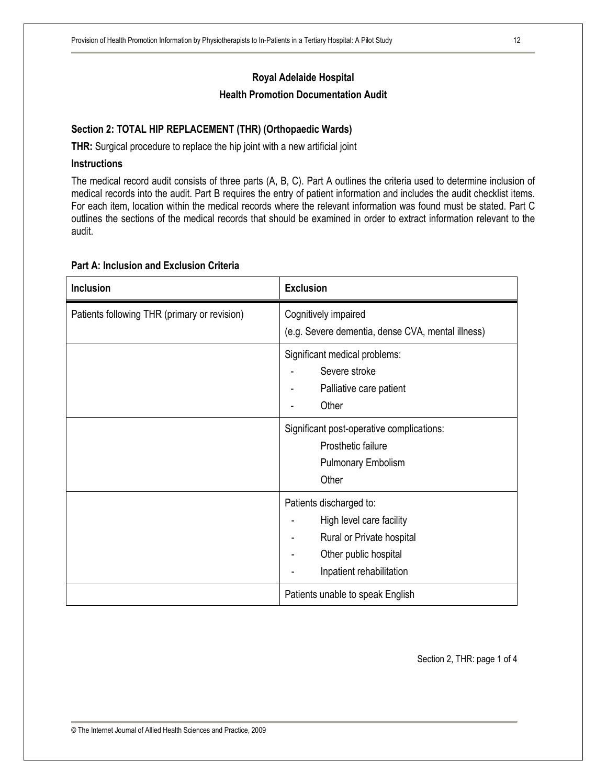### **Health Promotion Documentation Audit**

### **Section 2: TOTAL HIP REPLACEMENT (THR) (Orthopaedic Wards)**

**THR:** Surgical procedure to replace the hip joint with a new artificial joint

## **Instructions**

The medical record audit consists of three parts (A, B, C). Part A outlines the criteria used to determine inclusion of medical records into the audit. Part B requires the entry of patient information and includes the audit checklist items. For each item, location within the medical records where the relevant information was found must be stated. Part C outlines the sections of the medical records that should be examined in order to extract information relevant to the audit.

| <b>Inclusion</b>                             | <b>Exclusion</b>                                                                                                                      |
|----------------------------------------------|---------------------------------------------------------------------------------------------------------------------------------------|
| Patients following THR (primary or revision) | Cognitively impaired<br>(e.g. Severe dementia, dense CVA, mental illness)                                                             |
|                                              | Significant medical problems:<br>Severe stroke<br>Palliative care patient<br>Other                                                    |
|                                              | Significant post-operative complications:<br>Prosthetic failure<br><b>Pulmonary Embolism</b><br>Other                                 |
|                                              | Patients discharged to:<br>High level care facility<br>Rural or Private hospital<br>Other public hospital<br>Inpatient rehabilitation |
|                                              | Patients unable to speak English                                                                                                      |

## **Part A: Inclusion and Exclusion Criteria**

Section 2, THR: page 1 of 4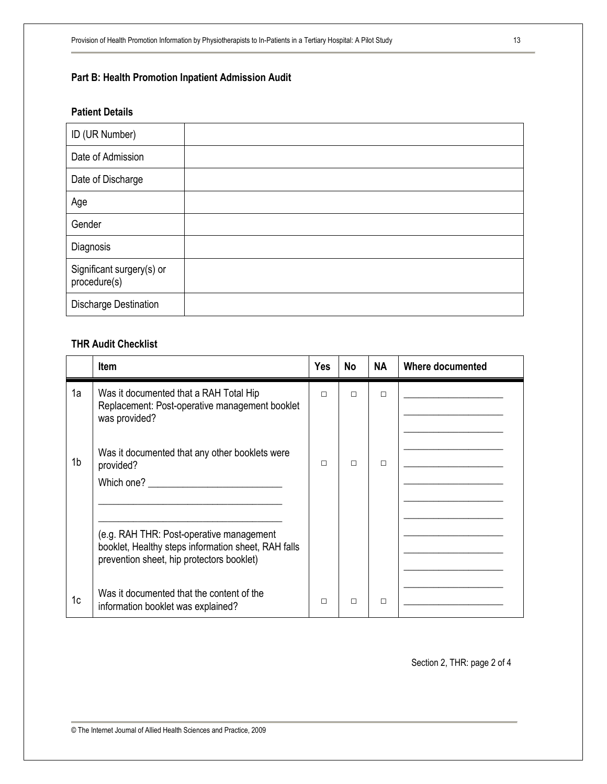# **Part B: Health Promotion Inpatient Admission Audit**

## **Patient Details**

| ID (UR Number)                            |  |
|-------------------------------------------|--|
| Date of Admission                         |  |
| Date of Discharge                         |  |
| Age                                       |  |
| Gender                                    |  |
| Diagnosis                                 |  |
| Significant surgery(s) or<br>procedure(s) |  |
| <b>Discharge Destination</b>              |  |

## **THR Audit Checklist**

|                | <b>Item</b>                                                                                                                                  | <b>Yes</b> | <b>No</b> | <b>NA</b> | Where documented |
|----------------|----------------------------------------------------------------------------------------------------------------------------------------------|------------|-----------|-----------|------------------|
| 1a             | Was it documented that a RAH Total Hip<br>Replacement: Post-operative management booklet<br>was provided?                                    | $\Box$     | п         | $\Box$    |                  |
| 1 <sub>b</sub> | Was it documented that any other booklets were<br>provided?<br>Which one?                                                                    | $\Box$     | $\Box$    | $\Box$    |                  |
|                | (e.g. RAH THR: Post-operative management<br>booklet, Healthy steps information sheet, RAH falls<br>prevention sheet, hip protectors booklet) |            |           |           |                  |
| 1c             | Was it documented that the content of the<br>information booklet was explained?                                                              | П          | п         | П         |                  |

Section 2, THR: page 2 of 4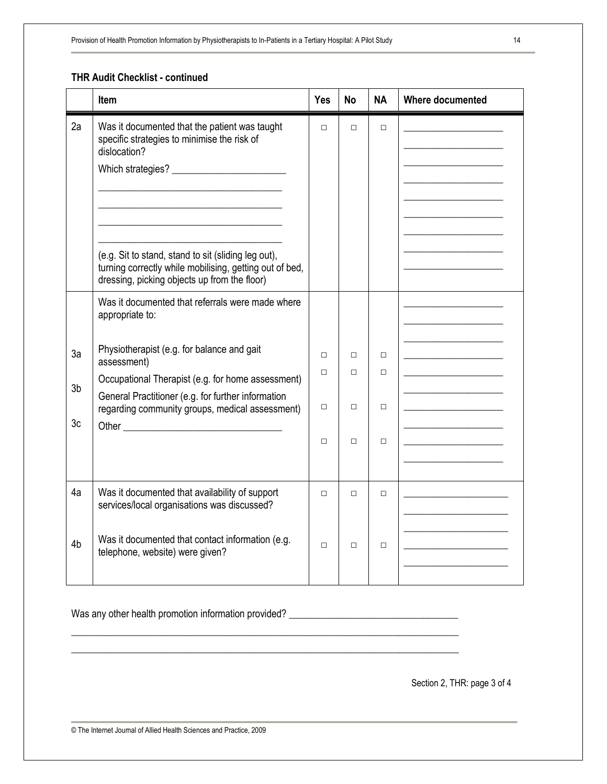## **THR Audit Checklist - continued**

|                | <b>Item</b>                                                                                                                                                    | <b>Yes</b> | <b>No</b> | <b>NA</b> | Where documented |
|----------------|----------------------------------------------------------------------------------------------------------------------------------------------------------------|------------|-----------|-----------|------------------|
| 2a             | Was it documented that the patient was taught<br>specific strategies to minimise the risk of<br>dislocation?                                                   | $\Box$     | $\Box$    | $\Box$    |                  |
|                | (e.g. Sit to stand, stand to sit (sliding leg out),<br>turning correctly while mobilising, getting out of bed,<br>dressing, picking objects up from the floor) |            |           |           |                  |
|                | Was it documented that referrals were made where<br>appropriate to:                                                                                            |            |           |           |                  |
| 3a             | Physiotherapist (e.g. for balance and gait<br>assessment)                                                                                                      | $\Box$     | $\Box$    | $\Box$    |                  |
| 3 <sub>b</sub> | Occupational Therapist (e.g. for home assessment)                                                                                                              | $\Box$     | $\Box$    | $\Box$    |                  |
| 3c             | General Practitioner (e.g. for further information<br>regarding community groups, medical assessment)                                                          | $\Box$     | $\Box$    | $\Box$    |                  |
|                |                                                                                                                                                                | $\Box$     | $\Box$    | $\Box$    |                  |
| 4a             | Was it documented that availability of support<br>services/local organisations was discussed?                                                                  | $\Box$     | $\Box$    | $\Box$    |                  |
| 4b             | Was it documented that contact information (e.g.<br>telephone, website) were given?                                                                            | $\Box$     | $\Box$    | $\Box$    |                  |

**\_\_\_\_\_\_\_\_\_\_\_\_\_\_\_\_\_\_\_\_\_\_\_\_\_\_\_\_\_\_\_\_\_\_\_\_\_\_\_\_\_\_\_\_\_\_\_\_\_\_\_\_\_\_\_\_\_\_\_\_\_\_\_\_\_\_\_\_\_\_\_\_\_\_\_\_\_\_ \_\_\_\_\_\_\_\_\_\_\_\_\_\_\_\_\_\_\_\_\_\_\_\_\_\_\_\_\_\_\_\_\_\_\_\_\_\_\_\_\_\_\_\_\_\_\_\_\_\_\_\_\_\_\_\_\_\_\_\_\_\_\_\_\_\_\_\_\_\_\_\_\_\_\_\_\_\_** 

Was any other health promotion information provided? \_\_\_\_\_\_\_\_\_\_\_\_\_\_\_\_\_\_\_\_\_\_\_\_\_\_\_

Section 2, THR: page 3 of 4

© The Internet Journal of Allied Health Sciences and Practice, 2009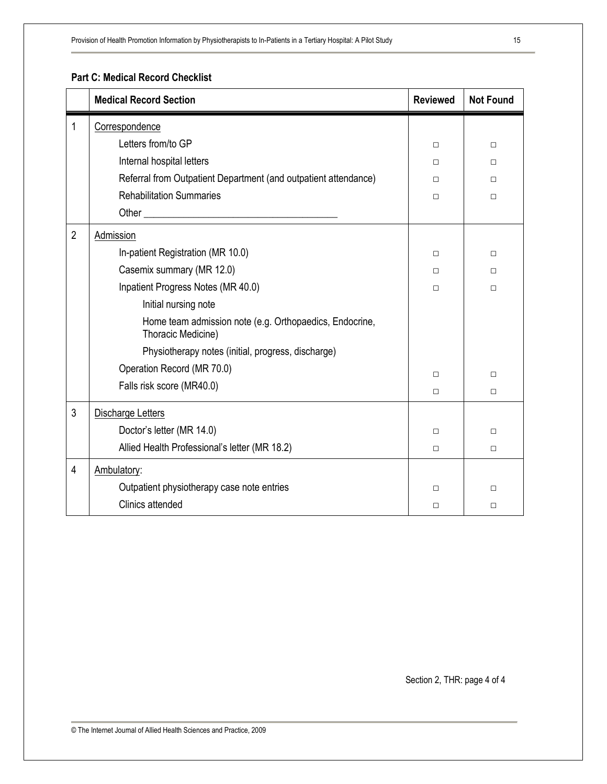# **Part C: Medical Record Checklist**

|                | <b>Medical Record Section</b>                                                 | <b>Reviewed</b> | <b>Not Found</b> |
|----------------|-------------------------------------------------------------------------------|-----------------|------------------|
| 1              | Correspondence                                                                |                 |                  |
|                | Letters from/to GP                                                            | □               | □                |
|                | Internal hospital letters                                                     | $\Box$          | $\Box$           |
|                | Referral from Outpatient Department (and outpatient attendance)               | $\Box$          | $\Box$           |
|                | <b>Rehabilitation Summaries</b>                                               | $\Box$          | $\Box$           |
|                |                                                                               |                 |                  |
| $\overline{2}$ | <b>Admission</b>                                                              |                 |                  |
|                | In-patient Registration (MR 10.0)                                             | $\Box$          | □                |
|                | Casemix summary (MR 12.0)                                                     | □               | $\Box$           |
|                | Inpatient Progress Notes (MR 40.0)                                            | $\Box$          | □                |
|                | Initial nursing note                                                          |                 |                  |
|                | Home team admission note (e.g. Orthopaedics, Endocrine,<br>Thoracic Medicine) |                 |                  |
|                | Physiotherapy notes (initial, progress, discharge)                            |                 |                  |
|                | Operation Record (MR 70.0)                                                    | $\Box$          | □                |
|                | Falls risk score (MR40.0)                                                     | $\Box$          | □                |
| 3              | <b>Discharge Letters</b>                                                      |                 |                  |
|                | Doctor's letter (MR 14.0)                                                     | $\Box$          | □                |
|                | Allied Health Professional's letter (MR 18.2)                                 | $\Box$          | $\Box$           |
| $\overline{4}$ | Ambulatory:                                                                   |                 |                  |
|                | Outpatient physiotherapy case note entries                                    | □               | $\Box$           |
|                | Clinics attended                                                              | □               | $\Box$           |

Section 2, THR: page 4 of 4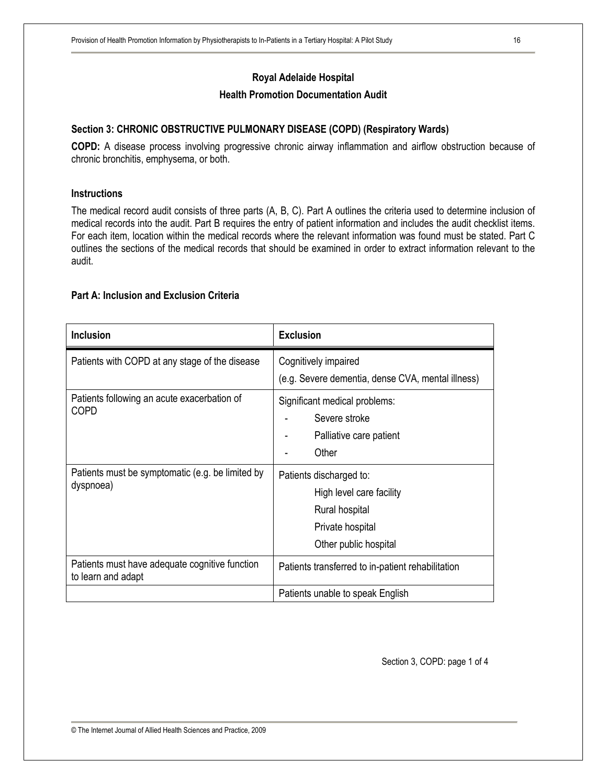## **Royal Adelaide Hospital**

## **Health Promotion Documentation Audit**

### **Section 3: CHRONIC OBSTRUCTIVE PULMONARY DISEASE (COPD) (Respiratory Wards)**

**COPD:** A disease process involving progressive chronic airway inflammation and airflow obstruction because of chronic bronchitis, emphysema, or both.

### **Instructions**

The medical record audit consists of three parts (A, B, C). Part A outlines the criteria used to determine inclusion of medical records into the audit. Part B requires the entry of patient information and includes the audit checklist items. For each item, location within the medical records where the relevant information was found must be stated. Part C outlines the sections of the medical records that should be examined in order to extract information relevant to the audit.

## **Part A: Inclusion and Exclusion Criteria**

| <b>Inclusion</b>                                                     | <b>Exclusion</b>                                                                                                   |
|----------------------------------------------------------------------|--------------------------------------------------------------------------------------------------------------------|
| Patients with COPD at any stage of the disease                       | Cognitively impaired<br>(e.g. Severe dementia, dense CVA, mental illness)                                          |
| Patients following an acute exacerbation of<br>COPD                  | Significant medical problems:<br>Severe stroke<br>Palliative care patient<br>Other                                 |
| Patients must be symptomatic (e.g. be limited by<br>dyspnoea)        | Patients discharged to:<br>High level care facility<br>Rural hospital<br>Private hospital<br>Other public hospital |
| Patients must have adequate cognitive function<br>to learn and adapt | Patients transferred to in-patient rehabilitation                                                                  |
|                                                                      | Patients unable to speak English                                                                                   |

Section 3, COPD: page 1 of 4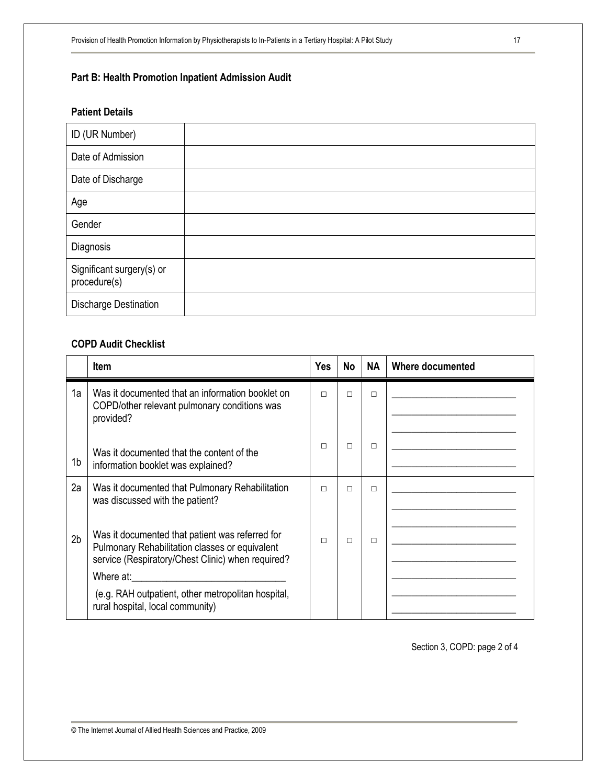# **Part B: Health Promotion Inpatient Admission Audit**

## **Patient Details**

| ID (UR Number)                            |  |
|-------------------------------------------|--|
| Date of Admission                         |  |
| Date of Discharge                         |  |
| Age                                       |  |
| Gender                                    |  |
| Diagnosis                                 |  |
| Significant surgery(s) or<br>procedure(s) |  |
| <b>Discharge Destination</b>              |  |

## **COPD Audit Checklist**

|                | Item                                                                                                                                                   | Yes | No     | <b>NA</b> | <b>Where documented</b> |
|----------------|--------------------------------------------------------------------------------------------------------------------------------------------------------|-----|--------|-----------|-------------------------|
| 1a             | Was it documented that an information booklet on<br>COPD/other relevant pulmonary conditions was<br>provided?                                          | п   | $\Box$ | п         |                         |
| 1b             | Was it documented that the content of the<br>information booklet was explained?                                                                        | п   | П      | п         |                         |
| 2a             | Was it documented that Pulmonary Rehabilitation<br>was discussed with the patient?                                                                     | п   | $\Box$ | п         |                         |
| 2 <sub>b</sub> | Was it documented that patient was referred for<br>Pulmonary Rehabilitation classes or equivalent<br>service (Respiratory/Chest Clinic) when required? | П   | $\Box$ | П         |                         |
|                | Where at: where $\frac{1}{2}$<br>(e.g. RAH outpatient, other metropolitan hospital,<br>rural hospital, local community)                                |     |        |           |                         |

Section 3, COPD: page 2 of 4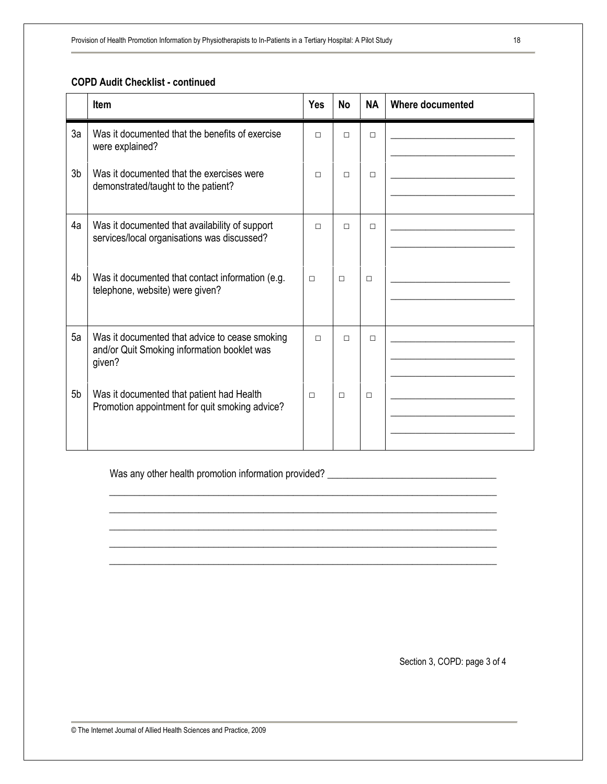## **COPD Audit Checklist - continued**

|                | <b>Item</b>                                                                                             | <b>Yes</b> | <b>No</b> | <b>NA</b> | <b>Where documented</b> |
|----------------|---------------------------------------------------------------------------------------------------------|------------|-----------|-----------|-------------------------|
| 3a             | Was it documented that the benefits of exercise<br>were explained?                                      | $\Box$     | $\Box$    | $\Box$    |                         |
| 3 <sub>b</sub> | Was it documented that the exercises were<br>demonstrated/taught to the patient?                        | $\Box$     | П         | □         |                         |
| 4a             | Was it documented that availability of support<br>services/local organisations was discussed?           | $\Box$     | П         | □         |                         |
| 4b             | Was it documented that contact information (e.g.<br>telephone, website) were given?                     | $\Box$     | $\Box$    | $\Box$    |                         |
| 5a             | Was it documented that advice to cease smoking<br>and/or Quit Smoking information booklet was<br>given? | $\Box$     | $\Box$    | $\Box$    |                         |
| 5b             | Was it documented that patient had Health<br>Promotion appointment for quit smoking advice?             | $\Box$     | $\Box$    | $\Box$    |                         |

**\_\_\_\_\_\_\_\_\_\_\_\_\_\_\_\_\_\_\_\_\_\_\_\_\_\_\_\_\_\_\_\_\_\_\_\_\_\_\_\_\_\_\_\_\_\_\_\_\_\_\_\_\_\_\_\_\_\_\_\_\_\_\_\_\_\_\_\_\_\_\_\_\_\_\_\_\_\_ \_\_\_\_\_\_\_\_\_\_\_\_\_\_\_\_\_\_\_\_\_\_\_\_\_\_\_\_\_\_\_\_\_\_\_\_\_\_\_\_\_\_\_\_\_\_\_\_\_\_\_\_\_\_\_\_\_\_\_\_\_\_\_\_\_\_\_\_\_\_\_\_\_\_\_\_\_\_ \_\_\_\_\_\_\_\_\_\_\_\_\_\_\_\_\_\_\_\_\_\_\_\_\_\_\_\_\_\_\_\_\_\_\_\_\_\_\_\_\_\_\_\_\_\_\_\_\_\_\_\_\_\_\_\_\_\_\_\_\_\_\_\_\_\_\_\_\_\_\_\_\_\_\_\_\_\_ \_\_\_\_\_\_\_\_\_\_\_\_\_\_\_\_\_\_\_\_\_\_\_\_\_\_\_\_\_\_\_\_\_\_\_\_\_\_\_\_\_\_\_\_\_\_\_\_\_\_\_\_\_\_\_\_\_\_\_\_\_\_\_\_\_\_\_\_\_\_\_\_\_\_\_\_\_\_ \_\_\_\_\_\_\_\_\_\_\_\_\_\_\_\_\_\_\_\_\_\_\_\_\_\_\_\_\_\_\_\_\_\_\_\_\_\_\_\_\_\_\_\_\_\_\_\_\_\_\_\_\_\_\_\_\_\_\_\_\_\_\_\_\_\_\_\_\_\_\_\_\_\_\_\_\_\_** 

Was any other health promotion information provided? \_\_\_\_\_\_\_\_\_\_\_\_\_\_\_\_\_\_\_\_\_\_\_\_\_\_\_\_

Section 3, COPD: page 3 of 4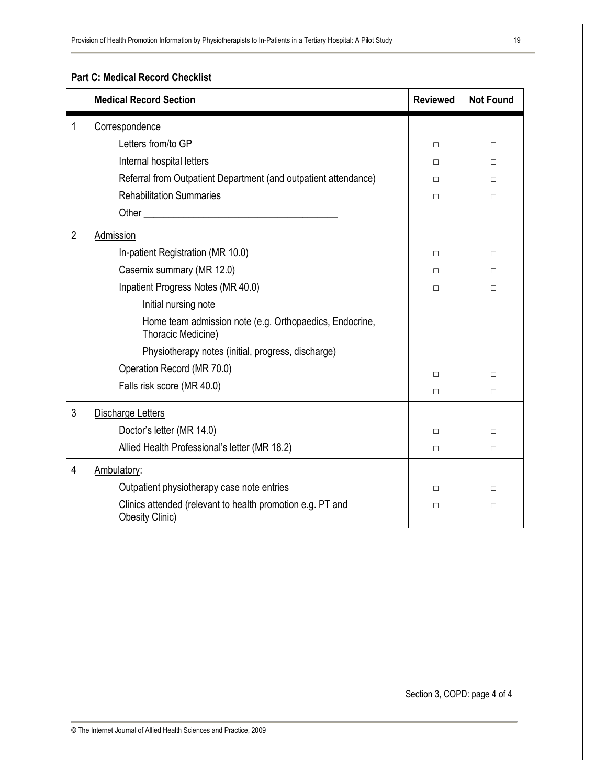# **Part C: Medical Record Checklist**

|                | <b>Medical Record Section</b>                                                 | <b>Reviewed</b> | <b>Not Found</b> |
|----------------|-------------------------------------------------------------------------------|-----------------|------------------|
| 1              | Correspondence                                                                |                 |                  |
|                | Letters from/to GP                                                            | $\Box$          | $\Box$           |
|                | Internal hospital letters                                                     | $\Box$          | $\Box$           |
|                | Referral from Outpatient Department (and outpatient attendance)               | □               | $\Box$           |
|                | <b>Rehabilitation Summaries</b>                                               | □               | $\Box$           |
|                |                                                                               |                 |                  |
| $\overline{2}$ | Admission                                                                     |                 |                  |
|                | In-patient Registration (MR 10.0)                                             | □               | $\Box$           |
|                | Casemix summary (MR 12.0)                                                     | $\Box$          | □                |
|                | Inpatient Progress Notes (MR 40.0)                                            | $\Box$          | $\Box$           |
|                | Initial nursing note                                                          |                 |                  |
|                | Home team admission note (e.g. Orthopaedics, Endocrine,<br>Thoracic Medicine) |                 |                  |
|                | Physiotherapy notes (initial, progress, discharge)                            |                 |                  |
|                | Operation Record (MR 70.0)                                                    | $\Box$          | $\Box$           |
|                | Falls risk score (MR 40.0)                                                    | □               | $\Box$           |
| 3              | <b>Discharge Letters</b>                                                      |                 |                  |
|                | Doctor's letter (MR 14.0)                                                     | □               | $\Box$           |
|                | Allied Health Professional's letter (MR 18.2)                                 | $\Box$          | $\Box$           |
| $\overline{4}$ | Ambulatory:                                                                   |                 |                  |
|                | Outpatient physiotherapy case note entries                                    | □               | □                |
|                | Clinics attended (relevant to health promotion e.g. PT and<br>Obesity Clinic) | □               | □                |

Section 3, COPD: page 4 of 4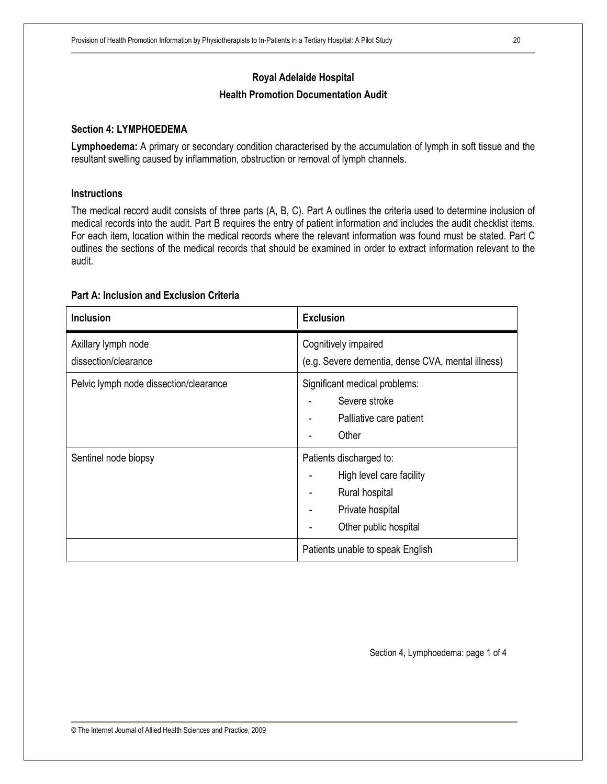### **Royal Adelaide Hospital**

## **Health Promotion Documentation Audit**

### **Section 4: LYMPHOEDEMA**

**Lymphoedema:** A primary or secondary condition characterised by the accumulation of lymph in soft tissue and the resultant swelling caused by inflammation, obstruction or removal of lymph channels.

### **Instructions**

The medical record audit consists of three parts (A, B, C). Part A outlines the criteria used to determine inclusion of medical records into the audit. Part B requires the entry of patient information and includes the audit checklist items. For each item, location within the medical records where the relevant information was found must be stated. Part C outlines the sections of the medical records that should be examined in order to extract information relevant to the audit.

## **Part A: Inclusion and Exclusion Criteria**

| <b>Inclusion</b>                            | <b>Exclusion</b>                                                                                                   |  |
|---------------------------------------------|--------------------------------------------------------------------------------------------------------------------|--|
| Axillary lymph node<br>dissection/clearance | Cognitively impaired<br>(e.g. Severe dementia, dense CVA, mental illness)                                          |  |
| Pelvic lymph node dissection/clearance      | Significant medical problems:<br>Severe stroke<br>Palliative care patient<br>Other                                 |  |
| Sentinel node biopsy                        | Patients discharged to:<br>High level care facility<br>Rural hospital<br>Private hospital<br>Other public hospital |  |
|                                             | Patients unable to speak English                                                                                   |  |

Section 4, Lymphoedema: page 1 of 4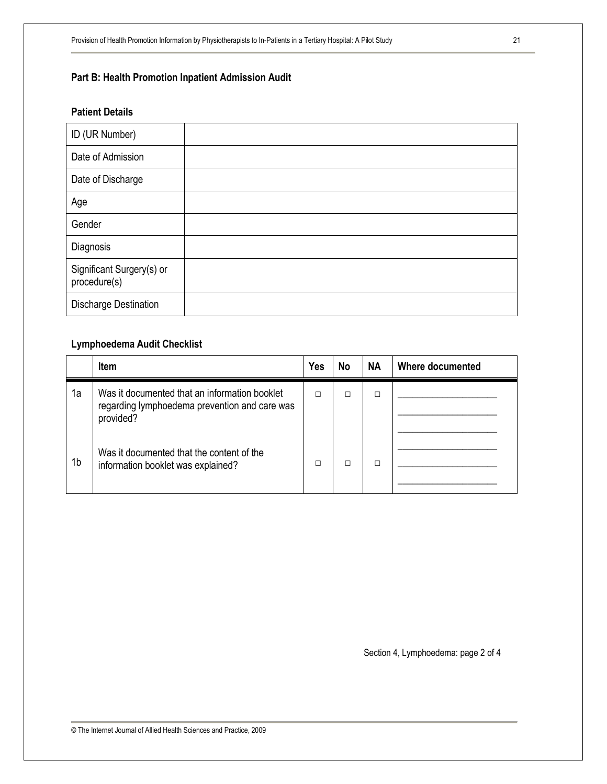# **Part B: Health Promotion Inpatient Admission Audit**

## **Patient Details**

| ID (UR Number)                            |  |
|-------------------------------------------|--|
| Date of Admission                         |  |
| Date of Discharge                         |  |
| Age                                       |  |
| Gender                                    |  |
| Diagnosis                                 |  |
| Significant Surgery(s) or<br>procedure(s) |  |
| <b>Discharge Destination</b>              |  |

# **Lymphoedema Audit Checklist**

|    | Item                                                                                                        | <b>Yes</b> | No | <b>NA</b> | Where documented |
|----|-------------------------------------------------------------------------------------------------------------|------------|----|-----------|------------------|
| 1a | Was it documented that an information booklet<br>regarding lymphoedema prevention and care was<br>provided? | П          |    | □         |                  |
| 1b | Was it documented that the content of the<br>information booklet was explained?                             | П          |    | П         |                  |

Section 4, Lymphoedema: page 2 of 4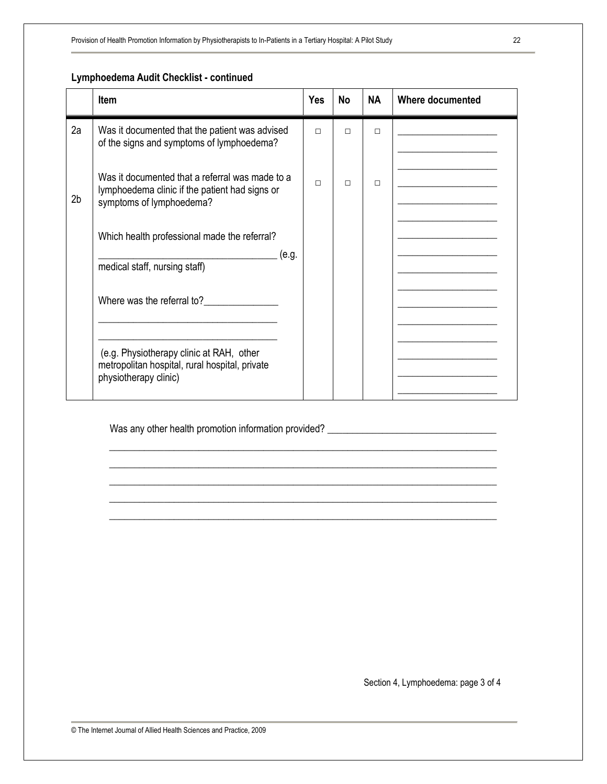# **Lymphoedema Audit Checklist - continued**

|                | <b>Item</b>                                                                                                                   | <b>Yes</b> | No     | <b>NA</b> | Where documented |
|----------------|-------------------------------------------------------------------------------------------------------------------------------|------------|--------|-----------|------------------|
| 2a             | Was it documented that the patient was advised<br>of the signs and symptoms of lymphoedema?                                   | $\Box$     | $\Box$ | $\Box$    |                  |
| 2 <sub>b</sub> | Was it documented that a referral was made to a<br>lymphoedema clinic if the patient had signs or<br>symptoms of lymphoedema? | $\Box$     | $\Box$ | $\Box$    |                  |
|                | Which health professional made the referral?<br>(e.g.                                                                         |            |        |           |                  |
|                | medical staff, nursing staff)                                                                                                 |            |        |           |                  |
|                | Where was the referral to?                                                                                                    |            |        |           |                  |
|                | (e.g. Physiotherapy clinic at RAH, other<br>metropolitan hospital, rural hospital, private<br>physiotherapy clinic)           |            |        |           |                  |

**\_\_\_\_\_\_\_\_\_\_\_\_\_\_\_\_\_\_\_\_\_\_\_\_\_\_\_\_\_\_\_\_\_\_\_\_\_\_\_\_\_\_\_\_\_\_\_\_\_\_\_\_\_\_\_\_\_\_\_\_\_\_\_\_\_\_\_\_\_\_\_\_\_\_\_\_\_\_ \_\_\_\_\_\_\_\_\_\_\_\_\_\_\_\_\_\_\_\_\_\_\_\_\_\_\_\_\_\_\_\_\_\_\_\_\_\_\_\_\_\_\_\_\_\_\_\_\_\_\_\_\_\_\_\_\_\_\_\_\_\_\_\_\_\_\_\_\_\_\_\_\_\_\_\_\_\_ \_\_\_\_\_\_\_\_\_\_\_\_\_\_\_\_\_\_\_\_\_\_\_\_\_\_\_\_\_\_\_\_\_\_\_\_\_\_\_\_\_\_\_\_\_\_\_\_\_\_\_\_\_\_\_\_\_\_\_\_\_\_\_\_\_\_\_\_\_\_\_\_\_\_\_\_\_\_ \_\_\_\_\_\_\_\_\_\_\_\_\_\_\_\_\_\_\_\_\_\_\_\_\_\_\_\_\_\_\_\_\_\_\_\_\_\_\_\_\_\_\_\_\_\_\_\_\_\_\_\_\_\_\_\_\_\_\_\_\_\_\_\_\_\_\_\_\_\_\_\_\_\_\_\_\_\_ \_\_\_\_\_\_\_\_\_\_\_\_\_\_\_\_\_\_\_\_\_\_\_\_\_\_\_\_\_\_\_\_\_\_\_\_\_\_\_\_\_\_\_\_\_\_\_\_\_\_\_\_\_\_\_\_\_\_\_\_\_\_\_\_\_\_\_\_\_\_\_\_\_\_\_\_\_\_** 

Was any other health promotion information provided? \_\_\_\_\_\_\_\_\_\_\_\_\_\_\_\_\_\_\_\_\_\_\_\_\_\_\_

Section 4, Lymphoedema: page 3 of 4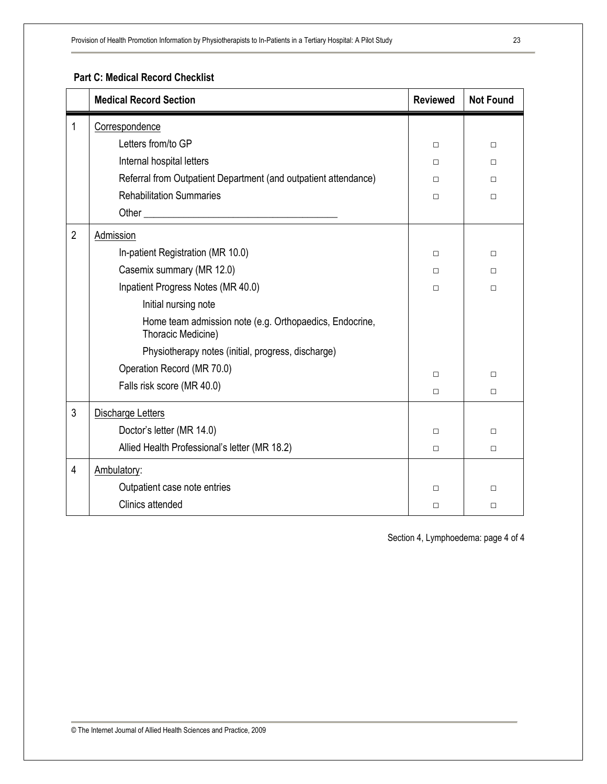# **Part C: Medical Record Checklist**

|                | <b>Medical Record Section</b>                                                 | <b>Reviewed</b> | <b>Not Found</b> |
|----------------|-------------------------------------------------------------------------------|-----------------|------------------|
| 1              | Correspondence                                                                |                 |                  |
|                | Letters from/to GP                                                            | □               | $\Box$           |
|                | Internal hospital letters                                                     | □               | $\Box$           |
|                | Referral from Outpatient Department (and outpatient attendance)               | $\Box$          | $\Box$           |
|                | <b>Rehabilitation Summaries</b>                                               | $\Box$          | $\Box$           |
|                |                                                                               |                 |                  |
| $\overline{2}$ | Admission                                                                     |                 |                  |
|                | In-patient Registration (MR 10.0)                                             | $\Box$          | $\Box$           |
|                | Casemix summary (MR 12.0)                                                     | $\Box$          | $\Box$           |
|                | Inpatient Progress Notes (MR 40.0)                                            | $\Box$          | $\Box$           |
|                | Initial nursing note                                                          |                 |                  |
|                | Home team admission note (e.g. Orthopaedics, Endocrine,<br>Thoracic Medicine) |                 |                  |
|                | Physiotherapy notes (initial, progress, discharge)                            |                 |                  |
|                | Operation Record (MR 70.0)                                                    | $\Box$          | $\Box$           |
|                | Falls risk score (MR 40.0)                                                    | □               | $\Box$           |
| 3              | <b>Discharge Letters</b>                                                      |                 |                  |
|                | Doctor's letter (MR 14.0)                                                     | □               | $\Box$           |
|                | Allied Health Professional's letter (MR 18.2)                                 | $\Box$          | $\Box$           |
| 4              | Ambulatory:                                                                   |                 |                  |
|                | Outpatient case note entries                                                  | □               | $\Box$           |
|                | Clinics attended                                                              | □               | □                |

Section 4, Lymphoedema: page 4 of 4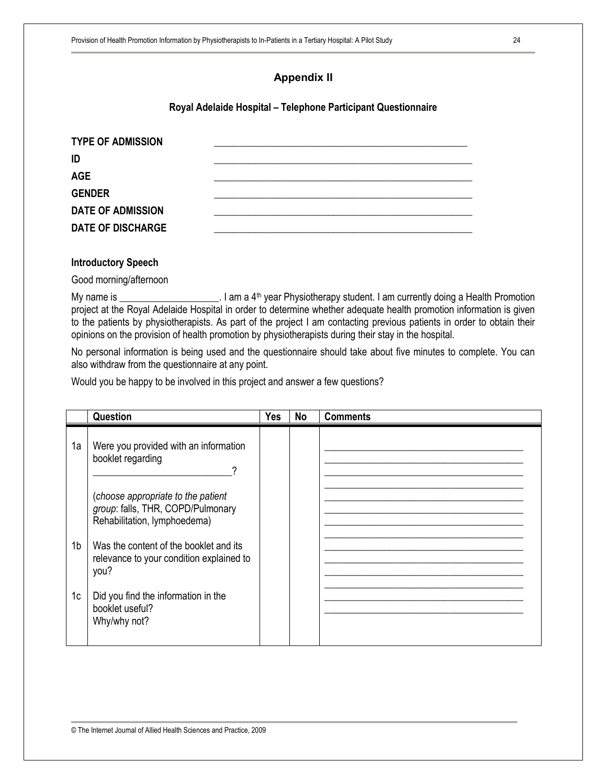## **Appendix II**

### **Royal Adelaide Hospital – Telephone Participant Questionnaire**

| <b>TYPE OF ADMISSION</b> |  |
|--------------------------|--|
| ID                       |  |
| <b>AGE</b>               |  |
| <b>GENDER</b>            |  |
| <b>DATE OF ADMISSION</b> |  |
| <b>DATE OF DISCHARGE</b> |  |

### **Introductory Speech**

Good morning/afternoon

My name is \_\_\_\_\_\_\_\_\_\_\_\_\_\_\_\_\_\_\_\_\_\_. I am a 4<sup>th</sup> year Physiotherapy student. I am currently doing a Health Promotion project at the Royal Adelaide Hospital in order to determine whether adequate health promotion information is given to the patients by physiotherapists. As part of the project I am contacting previous patients in order to obtain their opinions on the provision of health promotion by physiotherapists during their stay in the hospital.

No personal information is being used and the questionnaire should take about five minutes to complete. You can also withdraw from the questionnaire at any point.

Would you be happy to be involved in this project and answer a few questions?

|                | Question                                                                                                | Yes | No | <b>Comments</b> |
|----------------|---------------------------------------------------------------------------------------------------------|-----|----|-----------------|
| 1a             | Were you provided with an information<br>booklet regarding                                              |     |    |                 |
|                | (choose appropriate to the patient<br>group: falls, THR, COPD/Pulmonary<br>Rehabilitation, lymphoedema) |     |    |                 |
| 1 <sub>b</sub> | Was the content of the booklet and its<br>relevance to your condition explained to<br>you?              |     |    |                 |
| 1c             | Did you find the information in the<br>booklet useful?<br>Why/why not?                                  |     |    |                 |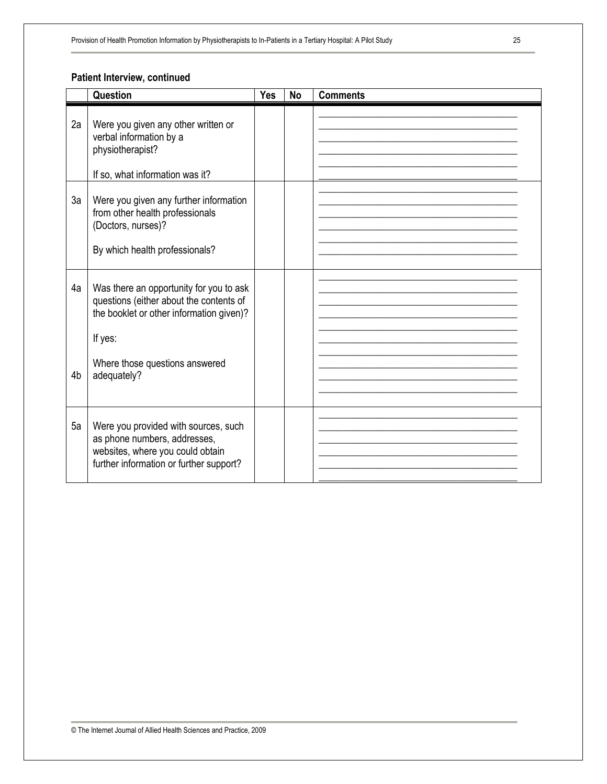# **Patient Interview, continued**

|          | Question                                                                                                                                                                                   | <b>Yes</b> | <b>No</b> | <b>Comments</b> |
|----------|--------------------------------------------------------------------------------------------------------------------------------------------------------------------------------------------|------------|-----------|-----------------|
| 2a       | Were you given any other written or<br>verbal information by a<br>physiotherapist?<br>If so, what information was it?                                                                      |            |           |                 |
| 3a       | Were you given any further information<br>from other health professionals<br>(Doctors, nurses)?<br>By which health professionals?                                                          |            |           |                 |
| 4a<br>4b | Was there an opportunity for you to ask<br>questions (either about the contents of<br>the booklet or other information given)?<br>If yes:<br>Where those questions answered<br>adequately? |            |           |                 |
| 5a       | Were you provided with sources, such<br>as phone numbers, addresses,<br>websites, where you could obtain<br>further information or further support?                                        |            |           |                 |